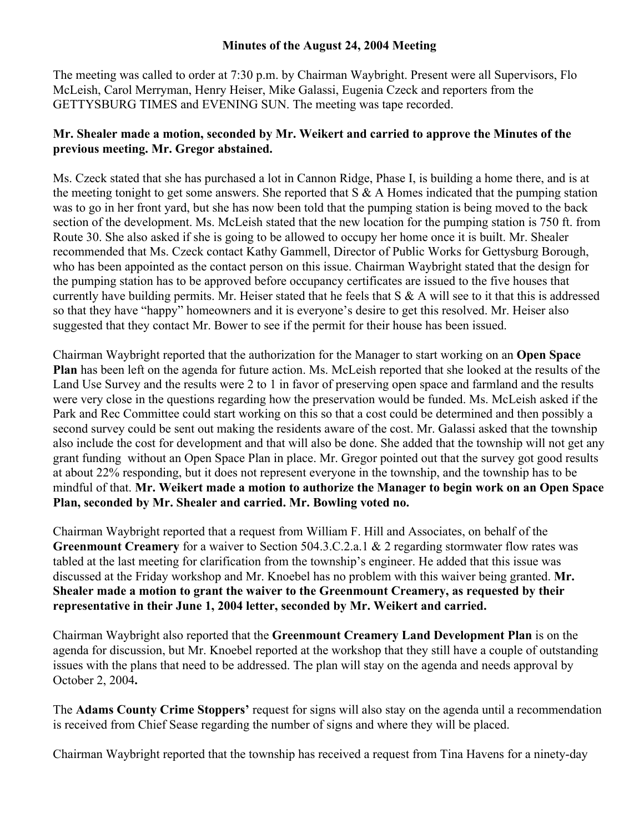## **Minutes of the August 24, 2004 Meeting**

The meeting was called to order at 7:30 p.m. by Chairman Waybright. Present were all Supervisors, Flo McLeish, Carol Merryman, Henry Heiser, Mike Galassi, Eugenia Czeck and reporters from the GETTYSBURG TIMES and EVENING SUN. The meeting was tape recorded.

## **Mr. Shealer made a motion, seconded by Mr. Weikert and carried to approve the Minutes of the previous meeting. Mr. Gregor abstained.**

Ms. Czeck stated that she has purchased a lot in Cannon Ridge, Phase I, is building a home there, and is at the meeting tonight to get some answers. She reported that  $S \& A$  Homes indicated that the pumping station was to go in her front yard, but she has now been told that the pumping station is being moved to the back section of the development. Ms. McLeish stated that the new location for the pumping station is 750 ft. from Route 30. She also asked if she is going to be allowed to occupy her home once it is built. Mr. Shealer recommended that Ms. Czeck contact Kathy Gammell, Director of Public Works for Gettysburg Borough, who has been appointed as the contact person on this issue. Chairman Waybright stated that the design for the pumping station has to be approved before occupancy certificates are issued to the five houses that currently have building permits. Mr. Heiser stated that he feels that S & A will see to it that this is addressed so that they have "happy" homeowners and it is everyone's desire to get this resolved. Mr. Heiser also suggested that they contact Mr. Bower to see if the permit for their house has been issued.

Chairman Waybright reported that the authorization for the Manager to start working on an **Open Space Plan** has been left on the agenda for future action. Ms. McLeish reported that she looked at the results of the Land Use Survey and the results were 2 to 1 in favor of preserving open space and farmland and the results were very close in the questions regarding how the preservation would be funded. Ms. McLeish asked if the Park and Rec Committee could start working on this so that a cost could be determined and then possibly a second survey could be sent out making the residents aware of the cost. Mr. Galassi asked that the township also include the cost for development and that will also be done. She added that the township will not get any grant funding without an Open Space Plan in place. Mr. Gregor pointed out that the survey got good results at about 22% responding, but it does not represent everyone in the township, and the township has to be mindful of that. **Mr. Weikert made a motion to authorize the Manager to begin work on an Open Space Plan, seconded by Mr. Shealer and carried. Mr. Bowling voted no.**

Chairman Waybright reported that a request from William F. Hill and Associates, on behalf of the **Greenmount Creamery** for a waiver to Section 504.3.C.2.a.1 & 2 regarding stormwater flow rates was tabled at the last meeting for clarification from the township's engineer. He added that this issue was discussed at the Friday workshop and Mr. Knoebel has no problem with this waiver being granted. **Mr. Shealer made a motion to grant the waiver to the Greenmount Creamery, as requested by their representative in their June 1, 2004 letter, seconded by Mr. Weikert and carried.**

Chairman Waybright also reported that the **Greenmount Creamery Land Development Plan** is on the agenda for discussion, but Mr. Knoebel reported at the workshop that they still have a couple of outstanding issues with the plans that need to be addressed. The plan will stay on the agenda and needs approval by October 2, 2004**.**

The **Adams County Crime Stoppers'** request for signs will also stay on the agenda until a recommendation is received from Chief Sease regarding the number of signs and where they will be placed.

Chairman Waybright reported that the township has received a request from Tina Havens for a ninety-day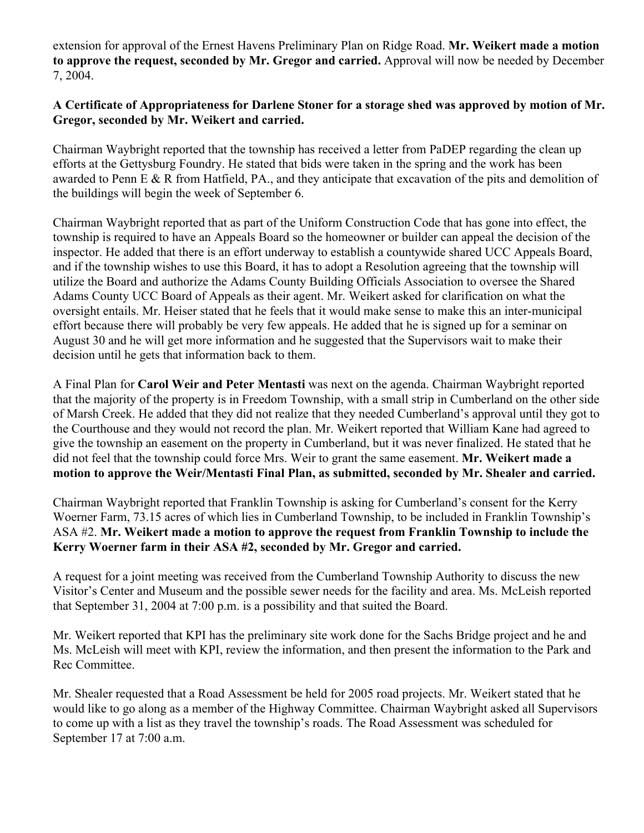extension for approval of the Ernest Havens Preliminary Plan on Ridge Road. **Mr. Weikert made a motion to approve the request, seconded by Mr. Gregor and carried.** Approval will now be needed by December 7, 2004.

## **A Certificate of Appropriateness for Darlene Stoner for a storage shed was approved by motion of Mr. Gregor, seconded by Mr. Weikert and carried.**

Chairman Waybright reported that the township has received a letter from PaDEP regarding the clean up efforts at the Gettysburg Foundry. He stated that bids were taken in the spring and the work has been awarded to Penn E & R from Hatfield, PA., and they anticipate that excavation of the pits and demolition of the buildings will begin the week of September 6.

Chairman Waybright reported that as part of the Uniform Construction Code that has gone into effect, the township is required to have an Appeals Board so the homeowner or builder can appeal the decision of the inspector. He added that there is an effort underway to establish a countywide shared UCC Appeals Board, and if the township wishes to use this Board, it has to adopt a Resolution agreeing that the township will utilize the Board and authorize the Adams County Building Officials Association to oversee the Shared Adams County UCC Board of Appeals as their agent. Mr. Weikert asked for clarification on what the oversight entails. Mr. Heiser stated that he feels that it would make sense to make this an inter-municipal effort because there will probably be very few appeals. He added that he is signed up for a seminar on August 30 and he will get more information and he suggested that the Supervisors wait to make their decision until he gets that information back to them.

A Final Plan for **Carol Weir and Peter Mentasti** was next on the agenda. Chairman Waybright reported that the majority of the property is in Freedom Township, with a small strip in Cumberland on the other side of Marsh Creek. He added that they did not realize that they needed Cumberland's approval until they got to the Courthouse and they would not record the plan. Mr. Weikert reported that William Kane had agreed to give the township an easement on the property in Cumberland, but it was never finalized. He stated that he did not feel that the township could force Mrs. Weir to grant the same easement. **Mr. Weikert made a motion to approve the Weir/Mentasti Final Plan, as submitted, seconded by Mr. Shealer and carried.**

Chairman Waybright reported that Franklin Township is asking for Cumberland's consent for the Kerry Woerner Farm, 73.15 acres of which lies in Cumberland Township, to be included in Franklin Township's ASA #2. **Mr. Weikert made a motion to approve the request from Franklin Township to include the Kerry Woerner farm in their ASA #2, seconded by Mr. Gregor and carried.**

A request for a joint meeting was received from the Cumberland Township Authority to discuss the new Visitor's Center and Museum and the possible sewer needs for the facility and area. Ms. McLeish reported that September 31, 2004 at 7:00 p.m. is a possibility and that suited the Board.

Mr. Weikert reported that KPI has the preliminary site work done for the Sachs Bridge project and he and Ms. McLeish will meet with KPI, review the information, and then present the information to the Park and Rec Committee.

Mr. Shealer requested that a Road Assessment be held for 2005 road projects. Mr. Weikert stated that he would like to go along as a member of the Highway Committee. Chairman Waybright asked all Supervisors to come up with a list as they travel the township's roads. The Road Assessment was scheduled for September 17 at 7:00 a.m.